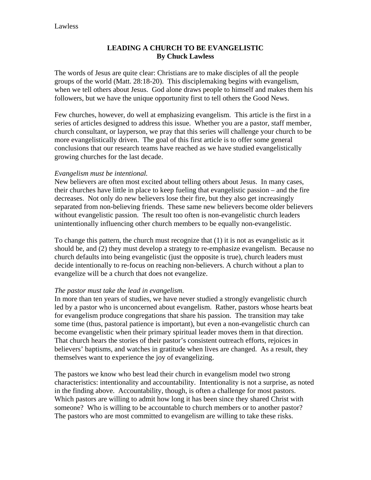# **LEADING A CHURCH TO BE EVANGELISTIC By Chuck Lawless**

The words of Jesus are quite clear: Christians are to make disciples of all the people groups of the world (Matt. 28:18-20). This disciplemaking begins with evangelism, when we tell others about Jesus. God alone draws people to himself and makes them his followers, but we have the unique opportunity first to tell others the Good News.

Few churches, however, do well at emphasizing evangelism. This article is the first in a series of articles designed to address this issue. Whether you are a pastor, staff member, church consultant, or layperson, we pray that this series will challenge your church to be more evangelistically driven. The goal of this first article is to offer some general conclusions that our research teams have reached as we have studied evangelistically growing churches for the last decade.

## *Evangelism must be intentional.*

New believers are often most excited about telling others about Jesus. In many cases, their churches have little in place to keep fueling that evangelistic passion – and the fire decreases. Not only do new believers lose their fire, but they also get increasingly separated from non-believing friends. These same new believers become older believers without evangelistic passion. The result too often is non-evangelistic church leaders unintentionally influencing other church members to be equally non-evangelistic.

To change this pattern, the church must recognize that (1) it is not as evangelistic as it should be, and (2) they must develop a strategy to re-emphasize evangelism. Because no church defaults into being evangelistic (just the opposite is true), church leaders must decide intentionally to re-focus on reaching non-believers. A church without a plan to evangelize will be a church that does not evangelize.

## *The pastor must take the lead in evangelism.*

In more than ten years of studies, we have never studied a strongly evangelistic church led by a pastor who is unconcerned about evangelism. Rather, pastors whose hearts beat for evangelism produce congregations that share his passion. The transition may take some time (thus, pastoral patience is important), but even a non-evangelistic church can become evangelistic when their primary spiritual leader moves them in that direction. That church hears the stories of their pastor's consistent outreach efforts, rejoices in believers' baptisms, and watches in gratitude when lives are changed. As a result, they themselves want to experience the joy of evangelizing.

The pastors we know who best lead their church in evangelism model two strong characteristics: intentionality and accountability. Intentionality is not a surprise, as noted in the finding above. Accountability, though, is often a challenge for most pastors. Which pastors are willing to admit how long it has been since they shared Christ with someone? Who is willing to be accountable to church members or to another pastor? The pastors who are most committed to evangelism are willing to take these risks.